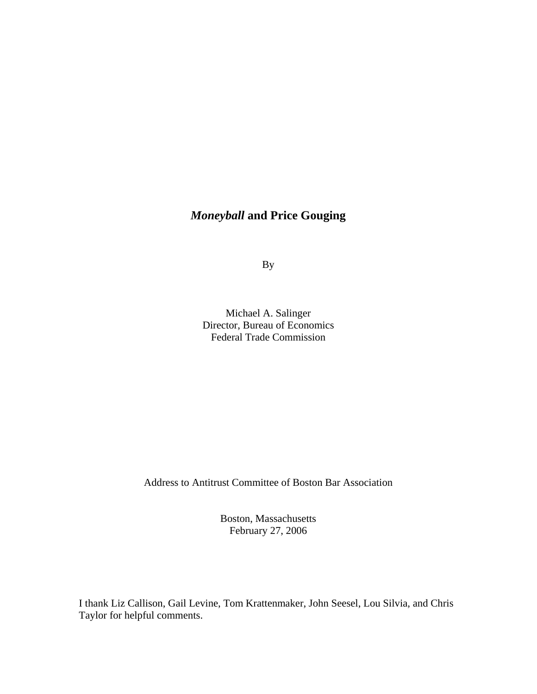## *Moneyball* **and Price Gouging**

By

Michael A. Salinger Director, Bureau of Economics Federal Trade Commission

Address to Antitrust Committee of Boston Bar Association

Boston, Massachusetts February 27, 2006

I thank Liz Callison, Gail Levine, Tom Krattenmaker, John Seesel, Lou Silvia, and Chris Taylor for helpful comments.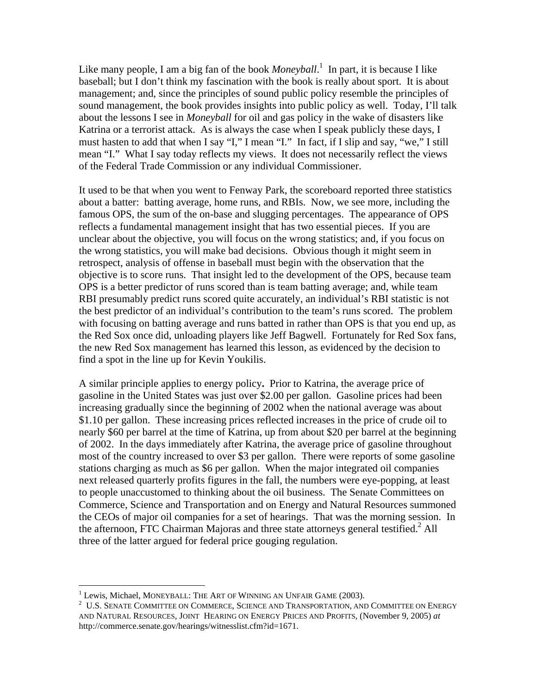Like many people, I am a big fan of the book *Moneyball*.<sup>1</sup> In part, it is because I like baseball; but I don't think my fascination with the book is really about sport. It is about management; and, since the principles of sound public policy resemble the principles of sound management, the book provides insights into public policy as well. Today, I'll talk about the lessons I see in *Moneyball* for oil and gas policy in the wake of disasters like Katrina or a terrorist attack. As is always the case when I speak publicly these days, I must hasten to add that when I say "I," I mean "I." In fact, if I slip and say, "we," I still mean "I." What I say today reflects my views. It does not necessarily reflect the views of the Federal Trade Commission or any individual Commissioner.

It used to be that when you went to Fenway Park, the scoreboard reported three statistics about a batter: batting average, home runs, and RBIs. Now, we see more, including the famous OPS, the sum of the on-base and slugging percentages. The appearance of OPS reflects a fundamental management insight that has two essential pieces. If you are unclear about the objective, you will focus on the wrong statistics; and, if you focus on the wrong statistics, you will make bad decisions. Obvious though it might seem in retrospect, analysis of offense in baseball must begin with the observation that the objective is to score runs. That insight led to the development of the OPS, because team OPS is a better predictor of runs scored than is team batting average; and, while team RBI presumably predict runs scored quite accurately, an individual's RBI statistic is not the best predictor of an individual's contribution to the team's runs scored. The problem with focusing on batting average and runs batted in rather than OPS is that you end up, as the Red Sox once did, unloading players like Jeff Bagwell. Fortunately for Red Sox fans, the new Red Sox management has learned this lesson, as evidenced by the decision to find a spot in the line up for Kevin Youkilis.

A similar principle applies to energy policy**.** Prior to Katrina, the average price of gasoline in the United States was just over \$2.00 per gallon. Gasoline prices had been increasing gradually since the beginning of 2002 when the national average was about \$1.10 per gallon. These increasing prices reflected increases in the price of crude oil to nearly \$60 per barrel at the time of Katrina, up from about \$20 per barrel at the beginning of 2002. In the days immediately after Katrina, the average price of gasoline throughout most of the country increased to over \$3 per gallon. There were reports of some gasoline stations charging as much as \$6 per gallon. When the major integrated oil companies next released quarterly profits figures in the fall, the numbers were eye-popping, at least to people unaccustomed to thinking about the oil business. The Senate Committees on Commerce, Science and Transportation and on Energy and Natural Resources summoned the CEOs of major oil companies for a set of hearings. That was the morning session. In the afternoon, FTC Chairman Majoras and three state attorneys general testified.<sup>2</sup> All three of the latter argued for federal price gouging regulation.

 $\frac{1}{1}$ 

 $^1$  Lewis, Michael, MONEYBALL: THE ART OF WINNING AN UNFAIR GAME (2003).<br>2 U.S. SENATE COMMITTEE ON COMMERCE, SCIENCE AND TRANSPORTATION, AND COMMITTEE ON ENERGY AND NATURAL RESOURCES, JOINT HEARING ON ENERGY PRICES AND PROFITS, (November 9, 2005) *at* http://commerce.senate.gov/hearings/witnesslist.cfm?id=1671.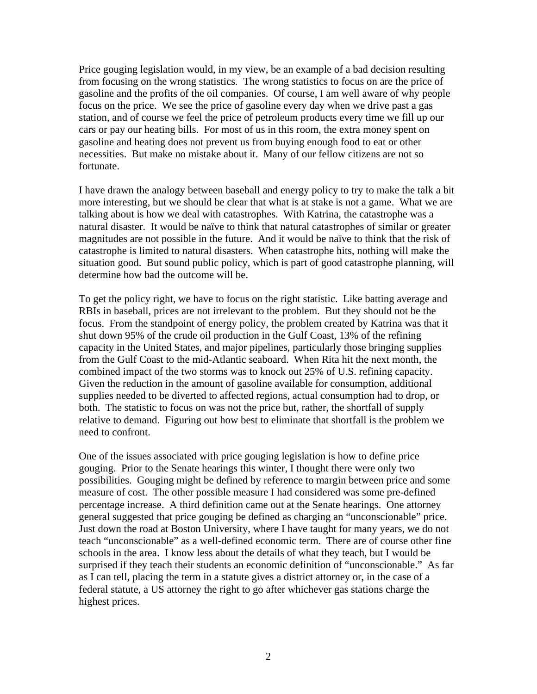Price gouging legislation would, in my view, be an example of a bad decision resulting from focusing on the wrong statistics. The wrong statistics to focus on are the price of gasoline and the profits of the oil companies. Of course, I am well aware of why people focus on the price. We see the price of gasoline every day when we drive past a gas station, and of course we feel the price of petroleum products every time we fill up our cars or pay our heating bills. For most of us in this room, the extra money spent on gasoline and heating does not prevent us from buying enough food to eat or other necessities. But make no mistake about it. Many of our fellow citizens are not so fortunate.

I have drawn the analogy between baseball and energy policy to try to make the talk a bit more interesting, but we should be clear that what is at stake is not a game. What we are talking about is how we deal with catastrophes. With Katrina, the catastrophe was a natural disaster. It would be naïve to think that natural catastrophes of similar or greater magnitudes are not possible in the future. And it would be naïve to think that the risk of catastrophe is limited to natural disasters. When catastrophe hits, nothing will make the situation good. But sound public policy, which is part of good catastrophe planning, will determine how bad the outcome will be.

To get the policy right, we have to focus on the right statistic. Like batting average and RBIs in baseball, prices are not irrelevant to the problem. But they should not be the focus. From the standpoint of energy policy, the problem created by Katrina was that it shut down 95% of the crude oil production in the Gulf Coast, 13% of the refining capacity in the United States, and major pipelines, particularly those bringing supplies from the Gulf Coast to the mid-Atlantic seaboard. When Rita hit the next month, the combined impact of the two storms was to knock out 25% of U.S. refining capacity. Given the reduction in the amount of gasoline available for consumption, additional supplies needed to be diverted to affected regions, actual consumption had to drop, or both. The statistic to focus on was not the price but, rather, the shortfall of supply relative to demand. Figuring out how best to eliminate that shortfall is the problem we need to confront.

One of the issues associated with price gouging legislation is how to define price gouging. Prior to the Senate hearings this winter, I thought there were only two possibilities. Gouging might be defined by reference to margin between price and some measure of cost. The other possible measure I had considered was some pre-defined percentage increase. A third definition came out at the Senate hearings. One attorney general suggested that price gouging be defined as charging an "unconscionable" price. Just down the road at Boston University, where I have taught for many years, we do not teach "unconscionable" as a well-defined economic term. There are of course other fine schools in the area. I know less about the details of what they teach, but I would be surprised if they teach their students an economic definition of "unconscionable." As far as I can tell, placing the term in a statute gives a district attorney or, in the case of a federal statute, a US attorney the right to go after whichever gas stations charge the highest prices.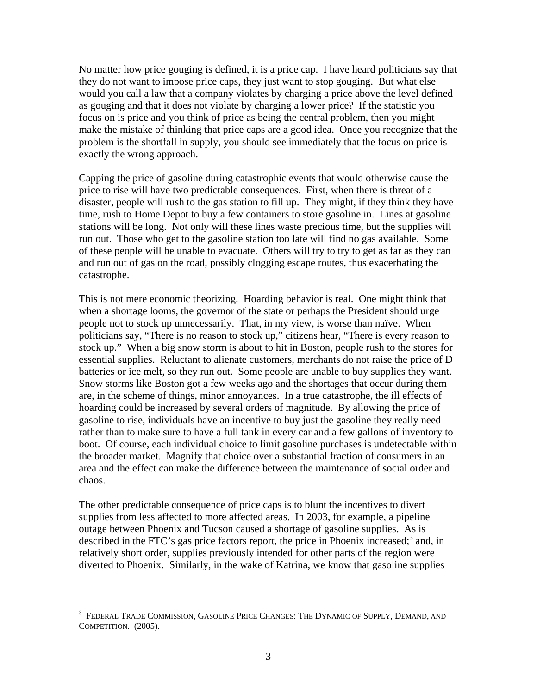No matter how price gouging is defined, it is a price cap. I have heard politicians say that they do not want to impose price caps, they just want to stop gouging. But what else would you call a law that a company violates by charging a price above the level defined as gouging and that it does not violate by charging a lower price? If the statistic you focus on is price and you think of price as being the central problem, then you might make the mistake of thinking that price caps are a good idea. Once you recognize that the problem is the shortfall in supply, you should see immediately that the focus on price is exactly the wrong approach.

Capping the price of gasoline during catastrophic events that would otherwise cause the price to rise will have two predictable consequences. First, when there is threat of a disaster, people will rush to the gas station to fill up. They might, if they think they have time, rush to Home Depot to buy a few containers to store gasoline in. Lines at gasoline stations will be long. Not only will these lines waste precious time, but the supplies will run out. Those who get to the gasoline station too late will find no gas available. Some of these people will be unable to evacuate. Others will try to try to get as far as they can and run out of gas on the road, possibly clogging escape routes, thus exacerbating the catastrophe.

This is not mere economic theorizing. Hoarding behavior is real. One might think that when a shortage looms, the governor of the state or perhaps the President should urge people not to stock up unnecessarily. That, in my view, is worse than naïve. When politicians say, "There is no reason to stock up," citizens hear, "There is every reason to stock up." When a big snow storm is about to hit in Boston, people rush to the stores for essential supplies. Reluctant to alienate customers, merchants do not raise the price of D batteries or ice melt, so they run out. Some people are unable to buy supplies they want. Snow storms like Boston got a few weeks ago and the shortages that occur during them are, in the scheme of things, minor annoyances. In a true catastrophe, the ill effects of hoarding could be increased by several orders of magnitude. By allowing the price of gasoline to rise, individuals have an incentive to buy just the gasoline they really need rather than to make sure to have a full tank in every car and a few gallons of inventory to boot. Of course, each individual choice to limit gasoline purchases is undetectable within the broader market. Magnify that choice over a substantial fraction of consumers in an area and the effect can make the difference between the maintenance of social order and chaos.

The other predictable consequence of price caps is to blunt the incentives to divert supplies from less affected to more affected areas. In 2003, for example, a pipeline outage between Phoenix and Tucson caused a shortage of gasoline supplies. As is described in the FTC's gas price factors report, the price in Phoenix increased;<sup>3</sup> and, in relatively short order, supplies previously intended for other parts of the region were diverted to Phoenix. Similarly, in the wake of Katrina, we know that gasoline supplies

 $^3$  Federal Trade Commission, Gasoline Price Changes: The Dynamic of Supply, Demand, and COMPETITION. (2005).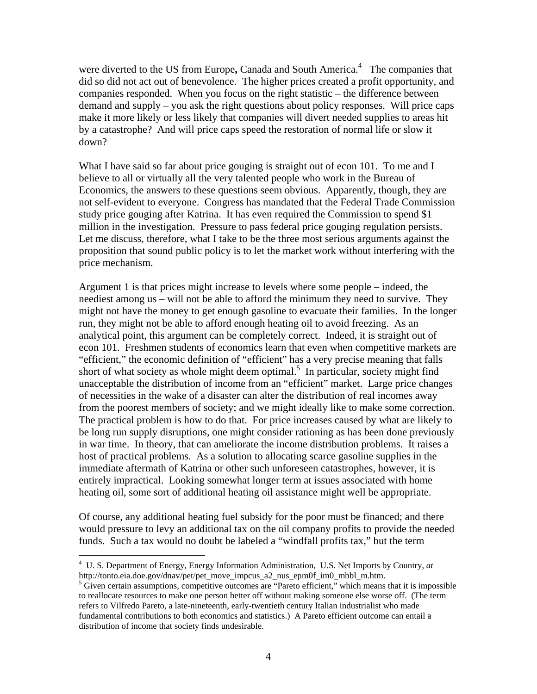were diverted to the US from Europe, Canada and South America.<sup>4</sup> The companies that did so did not act out of benevolence. The higher prices created a profit opportunity, and companies responded. When you focus on the right statistic – the difference between demand and supply – you ask the right questions about policy responses. Will price caps make it more likely or less likely that companies will divert needed supplies to areas hit by a catastrophe? And will price caps speed the restoration of normal life or slow it down?

What I have said so far about price gouging is straight out of econ 101. To me and I believe to all or virtually all the very talented people who work in the Bureau of Economics, the answers to these questions seem obvious. Apparently, though, they are not self-evident to everyone. Congress has mandated that the Federal Trade Commission study price gouging after Katrina. It has even required the Commission to spend \$1 million in the investigation. Pressure to pass federal price gouging regulation persists. Let me discuss, therefore, what I take to be the three most serious arguments against the proposition that sound public policy is to let the market work without interfering with the price mechanism.

Argument 1 is that prices might increase to levels where some people – indeed, the neediest among us – will not be able to afford the minimum they need to survive. They might not have the money to get enough gasoline to evacuate their families. In the longer run, they might not be able to afford enough heating oil to avoid freezing. As an analytical point, this argument can be completely correct. Indeed, it is straight out of econ 101. Freshmen students of economics learn that even when competitive markets are "efficient," the economic definition of "efficient" has a very precise meaning that falls short of what society as whole might deem optimal.<sup>5</sup> In particular, society might find unacceptable the distribution of income from an "efficient" market. Large price changes of necessities in the wake of a disaster can alter the distribution of real incomes away from the poorest members of society; and we might ideally like to make some correction. The practical problem is how to do that. For price increases caused by what are likely to be long run supply disruptions, one might consider rationing as has been done previously in war time. In theory, that can ameliorate the income distribution problems. It raises a host of practical problems. As a solution to allocating scarce gasoline supplies in the immediate aftermath of Katrina or other such unforeseen catastrophes, however, it is entirely impractical. Looking somewhat longer term at issues associated with home heating oil, some sort of additional heating oil assistance might well be appropriate.

Of course, any additional heating fuel subsidy for the poor must be financed; and there would pressure to levy an additional tax on the oil company profits to provide the needed funds. Such a tax would no doubt be labeled a "windfall profits tax," but the term

<sup>4</sup> U. S. Department of Energy, Energy Information Administration, U.S. Net Imports by Country, *at*  http://tonto.eia.doe.gov/dnav/pet/pet\_move\_impcus\_a2\_nus\_epm0f\_im0\_mbbl\_m.htm.

<sup>&</sup>lt;sup>5</sup> Given certain assumptions, competitive outcomes are "Pareto efficient," which means that it is impossible to reallocate resources to make one person better off without making someone else worse off. (The term refers to Vilfredo Pareto, a late-nineteenth, early-twentieth century Italian industrialist who made fundamental contributions to both economics and statistics.) A Pareto efficient outcome can entail a distribution of income that society finds undesirable.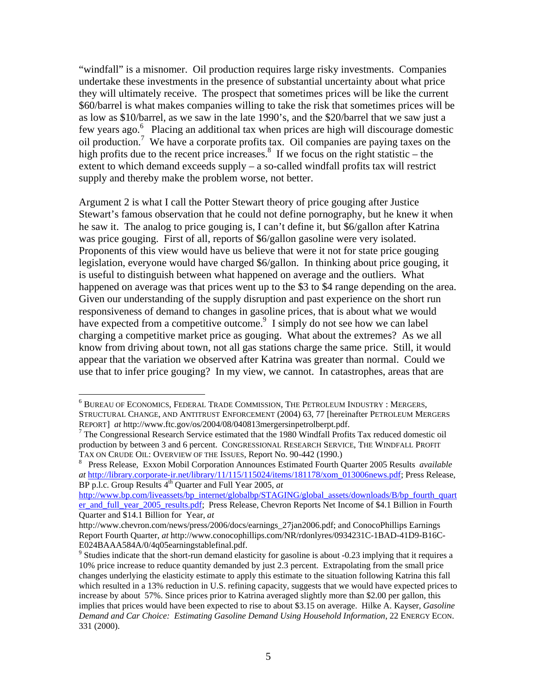"windfall" is a misnomer. Oil production requires large risky investments. Companies undertake these investments in the presence of substantial uncertainty about what price they will ultimately receive. The prospect that sometimes prices will be like the current \$60/barrel is what makes companies willing to take the risk that sometimes prices will be as low as \$10/barrel, as we saw in the late 1990's, and the \$20/barrel that we saw just a few years ago.<sup>6</sup> Placing an additional tax when prices are high will discourage domestic oil production.7 We have a corporate profits tax. Oil companies are paying taxes on the high profits due to the recent price increases. $8$  If we focus on the right statistic – the extent to which demand exceeds supply – a so-called windfall profits tax will restrict supply and thereby make the problem worse, not better.

Argument 2 is what I call the Potter Stewart theory of price gouging after Justice Stewart's famous observation that he could not define pornography, but he knew it when he saw it. The analog to price gouging is, I can't define it, but \$6/gallon after Katrina was price gouging. First of all, reports of \$6/gallon gasoline were very isolated. Proponents of this view would have us believe that were it not for state price gouging legislation, everyone would have charged \$6/gallon. In thinking about price gouging, it is useful to distinguish between what happened on average and the outliers. What happened on average was that prices went up to the \$3 to \$4 range depending on the area. Given our understanding of the supply disruption and past experience on the short run responsiveness of demand to changes in gasoline prices, that is about what we would have expected from a competitive outcome.<sup>9</sup> I simply do not see how we can label charging a competitive market price as gouging. What about the extremes? As we all know from driving about town, not all gas stations charge the same price. Still, it would appear that the variation we observed after Katrina was greater than normal. Could we use that to infer price gouging? In my view, we cannot. In catastrophes, areas that are

<sup>6</sup> BUREAU OF ECONOMICS, FEDERAL TRADE COMMISSION, THE PETROLEUM INDUSTRY : MERGERS, STRUCTURAL CHANGE, AND ANTITRUST ENFORCEMENT (2004) 63, 77 [hereinafter PETROLEUM MERGERS REPORT] at http://www.ftc.gov/os/2004/08/040813mergersinpetrolberpt.pdf.

 $7$  The Congressional Research Service estimated that the 1980 Windfall Profits Tax reduced domestic oil production by between 3 and 6 percent. CONGRESSIONAL RESEARCH SERVICE, THE WINDFALL PROFIT TAX ON CRUDE OIL: OVERVIEW OF THE ISSUES, Report No. 90-442 (1990.)

Press Release, Exxon Mobil Corporation Announces Estimated Fourth Quarter 2005 Results *available at* http://library.corporate-ir.net/library/11/115/115024/items/181178/xom\_013006news.pdf; Press Release, BP p.l.c. Group Results 4<sup>th</sup> Quarter and Full Year 2005, *at* 

http://www.bp.com/liveassets/bp\_internet/globalbp/STAGING/global\_assets/downloads/B/bp\_fourth\_quart er\_and\_full\_year\_2005\_results.pdf; Press Release, Chevron Reports Net Income of \$4.1 Billion in Fourth Quarter and \$14.1 Billion for Year, *at*

http://www.chevron.com/news/press/2006/docs/earnings\_27jan2006.pdf; and ConocoPhillips Earnings Report Fourth Quarter, *at* http://www.conocophillips.com/NR/rdonlyres/0934231C-1BAD-41D9-B16C-E024BAAA584A/0/4q05earningstablefinal.pdf.

<sup>&</sup>lt;sup>9</sup> Studies indicate that the short-run demand elasticity for gasoline is about -0.23 implying that it requires a 10% price increase to reduce quantity demanded by just 2.3 percent. Extrapolating from the small price changes underlying the elasticity estimate to apply this estimate to the situation following Katrina this fall which resulted in a 13% reduction in U.S. refining capacity, suggests that we would have expected prices to increase by about 57%. Since prices prior to Katrina averaged slightly more than \$2.00 per gallon, this implies that prices would have been expected to rise to about \$3.15 on average. Hilke A. Kayser, *Gasoline Demand and Car Choice: Estimating Gasoline Demand Using Household Information*, 22 ENERGY ECON. 331 (2000).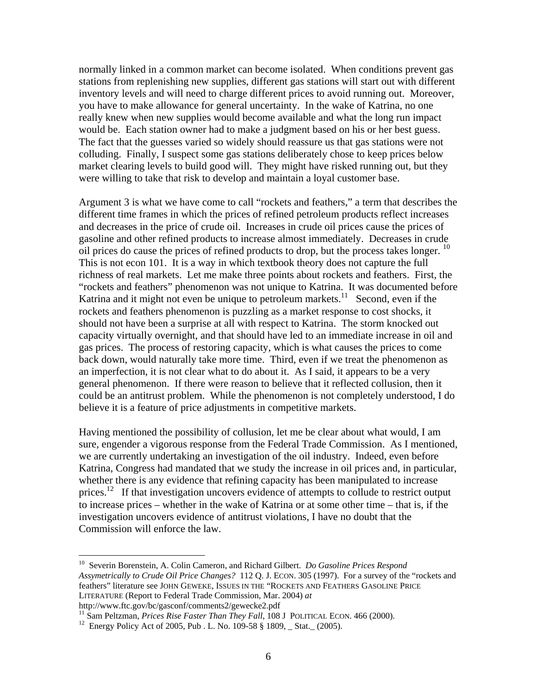normally linked in a common market can become isolated. When conditions prevent gas stations from replenishing new supplies, different gas stations will start out with different inventory levels and will need to charge different prices to avoid running out. Moreover, you have to make allowance for general uncertainty. In the wake of Katrina, no one really knew when new supplies would become available and what the long run impact would be. Each station owner had to make a judgment based on his or her best guess. The fact that the guesses varied so widely should reassure us that gas stations were not colluding. Finally, I suspect some gas stations deliberately chose to keep prices below market clearing levels to build good will. They might have risked running out, but they were willing to take that risk to develop and maintain a loyal customer base.

Argument 3 is what we have come to call "rockets and feathers," a term that describes the different time frames in which the prices of refined petroleum products reflect increases and decreases in the price of crude oil. Increases in crude oil prices cause the prices of gasoline and other refined products to increase almost immediately. Decreases in crude oil prices do cause the prices of refined products to drop, but the process takes longer. <sup>10</sup> This is not econ 101. It is a way in which textbook theory does not capture the full richness of real markets. Let me make three points about rockets and feathers. First, the "rockets and feathers" phenomenon was not unique to Katrina. It was documented before Katrina and it might not even be unique to petroleum markets.<sup>11</sup> Second, even if the rockets and feathers phenomenon is puzzling as a market response to cost shocks, it should not have been a surprise at all with respect to Katrina. The storm knocked out capacity virtually overnight, and that should have led to an immediate increase in oil and gas prices. The process of restoring capacity, which is what causes the prices to come back down, would naturally take more time. Third, even if we treat the phenomenon as an imperfection, it is not clear what to do about it. As I said, it appears to be a very general phenomenon. If there were reason to believe that it reflected collusion, then it could be an antitrust problem. While the phenomenon is not completely understood, I do believe it is a feature of price adjustments in competitive markets.

Having mentioned the possibility of collusion, let me be clear about what would, I am sure, engender a vigorous response from the Federal Trade Commission. As I mentioned, we are currently undertaking an investigation of the oil industry. Indeed, even before Katrina, Congress had mandated that we study the increase in oil prices and, in particular, whether there is any evidence that refining capacity has been manipulated to increase prices.<sup>12</sup> If that investigation uncovers evidence of attempts to collude to restrict output to increase prices – whether in the wake of Katrina or at some other time – that is, if the investigation uncovers evidence of antitrust violations, I have no doubt that the Commission will enforce the law.

<sup>10</sup> Severin Borenstein, A. Colin Cameron, and Richard Gilbert. *Do Gasoline Prices Respond Assymetrically to Crude Oil Price Changes?* 112 Q. J. ECON. 305 (1997). For a survey of the "rockets and feathers" literature see JOHN GEWEKE, ISSUES IN THE "ROCKETS AND FEATHERS GASOLINE PRICE LITERATURE (Report to Federal Trade Commission, Mar. 2004) *at*

http://www.ftc.gov/bc/gasconf/comments2/gewecke2.pdf<br><sup>11</sup> Sam Peltzman, *Prices Rise Faster Than They Fall*, 108 J POLITICAL ECON. 466 (2000).<br><sup>12</sup> Energy Policy Act of 2005, Pub . L. No. 109-58 § 1809, \_ Stat.\_ (2005).